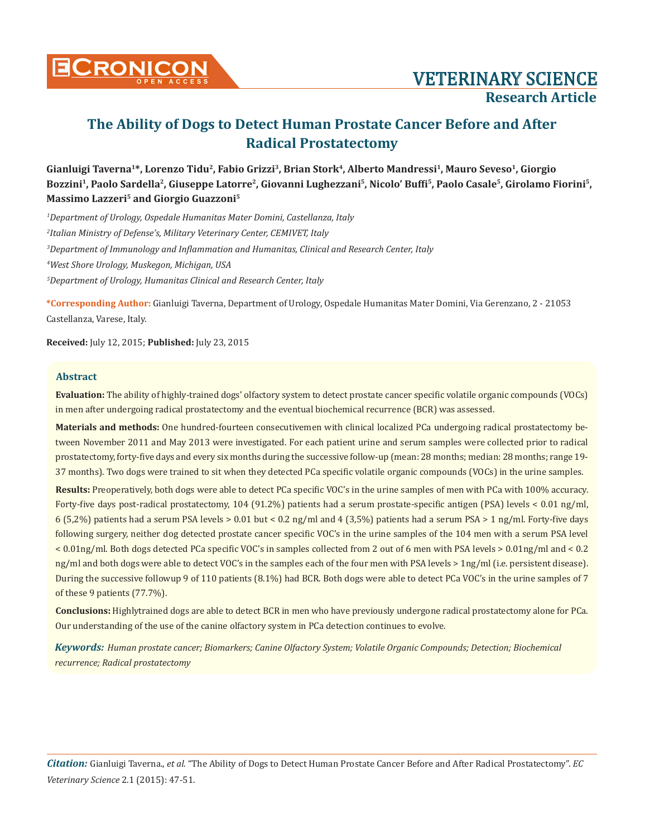

# **The Ability of Dogs to Detect Human Prostate Cancer Before and After Radical Prostatectomy**

Gianluigi Taverna<sup>1\*</sup>, Lorenzo Tidu<sup>2</sup>, Fabio Grizzi<sup>3</sup>, Brian Stork<sup>4</sup>, Alberto Mandressi<sup>1</sup>, Mauro Seveso<sup>1</sup>, Giorgio **Bozzini1, Paolo Sardella2, Giuseppe Latorre2, Giovanni Lughezzani5, Nicolo' Buffi5, Paolo Casale5, Girolamo Fiorini5, Massimo Lazzeri5 and Giorgio Guazzoni5**

 *Department of Urology, Ospedale Humanitas Mater Domini, Castellanza, Italy Italian Ministry of Defense's, Military Veterinary Center, CEMIVET, Italy Department of Immunology and Inflammation and Humanitas, Clinical and Research Center, Italy West Shore Urology, Muskegon, Michigan, USA Department of Urology, Humanitas Clinical and Research Center, Italy*

**\*Corresponding Author:** Gianluigi Taverna, Department of Urology, Ospedale Humanitas Mater Domini, Via Gerenzano, 2 - 21053 Castellanza, Varese, Italy.

**Received:** July 12, 2015; **Published:** July 23, 2015

# **Abstract**

**Evaluation:** The ability of highly-trained dogs' olfactory system to detect prostate cancer specific volatile organic compounds (VOCs) in men after undergoing radical prostatectomy and the eventual biochemical recurrence (BCR) was assessed.

**Materials and methods:** One hundred-fourteen consecutivemen with clinical localized PCa undergoing radical prostatectomy between November 2011 and May 2013 were investigated. For each patient urine and serum samples were collected prior to radical prostatectomy, forty-five days and every six months during the successive follow-up (mean: 28 months; median: 28 months; range 19- 37 months). Two dogs were trained to sit when they detected PCa specific volatile organic compounds (VOCs) in the urine samples.

**Results:** Preoperatively, both dogs were able to detect PCa specific VOC's in the urine samples of men with PCa with 100% accuracy. Forty-five days post-radical prostatectomy, 104 (91.2%) patients had a serum prostate-specific antigen (PSA) levels < 0.01 ng/ml, 6 (5,2%) patients had a serum PSA levels > 0.01 but < 0.2 ng/ml and 4 (3,5%) patients had a serum PSA > 1 ng/ml. Forty-five days following surgery, neither dog detected prostate cancer specific VOC's in the urine samples of the 104 men with a serum PSA level < 0.01ng/ml. Both dogs detected PCa specific VOC's in samples collected from 2 out of 6 men with PSA levels > 0.01ng/ml and < 0.2 ng/ml and both dogs were able to detect VOC's in the samples each of the four men with PSA levels > 1ng/ml (i.e. persistent disease). During the successive followup 9 of 110 patients (8.1%) had BCR. Both dogs were able to detect PCa VOC's in the urine samples of 7 of these 9 patients (77.7%).

**Conclusions:** Highlytrained dogs are able to detect BCR in men who have previously undergone radical prostatectomy alone for PCa. Our understanding of the use of the canine olfactory system in PCa detection continues to evolve.

*Keywords: Human prostate cancer; Biomarkers; Canine Olfactory System; Volatile Organic Compounds; Detection; Biochemical recurrence; Radical prostatectomy*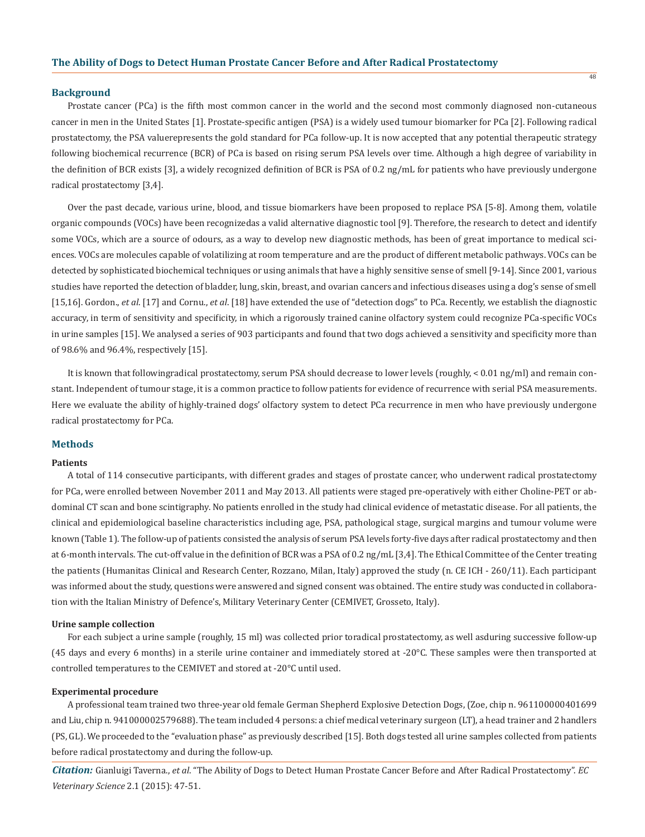## **Background**

Prostate cancer (PCa) is the fifth most common cancer in the world and the second most commonly diagnosed non-cutaneous cancer in men in the United States [1]. Prostate-specific antigen (PSA) is a widely used tumour biomarker for PCa [2]. Following radical prostatectomy, the PSA valuerepresents the gold standard for PCa follow-up. It is now accepted that any potential therapeutic strategy following biochemical recurrence (BCR) of PCa is based on rising serum PSA levels over time. Although a high degree of variability in the definition of BCR exists [3], a widely recognized definition of BCR is PSA of 0.2 ng/mL for patients who have previously undergone radical prostatectomy [3,4].

Over the past decade, various urine, blood, and tissue biomarkers have been proposed to replace PSA [5-8]. Among them, volatile organic compounds (VOCs) have been recognizedas a valid alternative diagnostic tool [9]. Therefore, the research to detect and identify some VOCs, which are a source of odours, as a way to develop new diagnostic methods, has been of great importance to medical sciences. VOCs are molecules capable of volatilizing at room temperature and are the product of different metabolic pathways. VOCs can be detected by sophisticated biochemical techniques or using animals that have a highly sensitive sense of smell [9-14]. Since 2001, various studies have reported the detection of bladder, lung, skin, breast, and ovarian cancers and infectious diseases using a dog's sense of smell [15,16]. Gordon., *et al*. [17] and Cornu., *et al*. [18] have extended the use of "detection dogs" to PCa. Recently, we establish the diagnostic accuracy, in term of sensitivity and specificity, in which a rigorously trained canine olfactory system could recognize PCa-specific VOCs in urine samples [15]. We analysed a series of 903 participants and found that two dogs achieved a sensitivity and specificity more than of 98.6% and 96.4%, respectively [15].

It is known that followingradical prostatectomy, serum PSA should decrease to lower levels (roughly, < 0.01 ng/ml) and remain constant. Independent of tumour stage, it is a common practice to follow patients for evidence of recurrence with serial PSA measurements. Here we evaluate the ability of highly-trained dogs' olfactory system to detect PCa recurrence in men who have previously undergone radical prostatectomy for PCa.

# **Methods**

### **Patients**

A total of 114 consecutive participants, with different grades and stages of prostate cancer, who underwent radical prostatectomy for PCa, were enrolled between November 2011 and May 2013. All patients were staged pre-operatively with either Choline-PET or abdominal CT scan and bone scintigraphy. No patients enrolled in the study had clinical evidence of metastatic disease. For all patients, the clinical and epidemiological baseline characteristics including age, PSA, pathological stage, surgical margins and tumour volume were known (Table 1). The follow-up of patients consisted the analysis of serum PSA levels forty-five days after radical prostatectomy and then at 6-month intervals. The cut-off value in the definition of BCR was a PSA of 0.2 ng/mL [3,4]. The Ethical Committee of the Center treating the patients (Humanitas Clinical and Research Center, Rozzano, Milan, Italy) approved the study (n. CE ICH - 260/11). Each participant was informed about the study, questions were answered and signed consent was obtained. The entire study was conducted in collaboration with the Italian Ministry of Defence's, Military Veterinary Center (CEMIVET, Grosseto, Italy).

### **Urine sample collection**

For each subject a urine sample (roughly, 15 ml) was collected prior toradical prostatectomy, as well asduring successive follow-up (45 days and every 6 months) in a sterile urine container and immediately stored at -20°C. These samples were then transported at controlled temperatures to the CEMIVET and stored at -20°C until used.

#### **Experimental procedure**

A professional team trained two three-year old female German Shepherd Explosive Detection Dogs, (Zoe, chip n. 961100000401699 and Liu, chip n. 941000002579688). The team included 4 persons: a chief medical veterinary surgeon (LT), a head trainer and 2 handlers (PS, GL). We proceeded to the "evaluation phase" as previously described [15]. Both dogs tested all urine samples collected from patients before radical prostatectomy and during the follow-up.

*Citation:* Gianluigi Taverna., *et al*. "The Ability of Dogs to Detect Human Prostate Cancer Before and After Radical Prostatectomy". *EC Veterinary Science* 2.1 (2015): 47-51.

48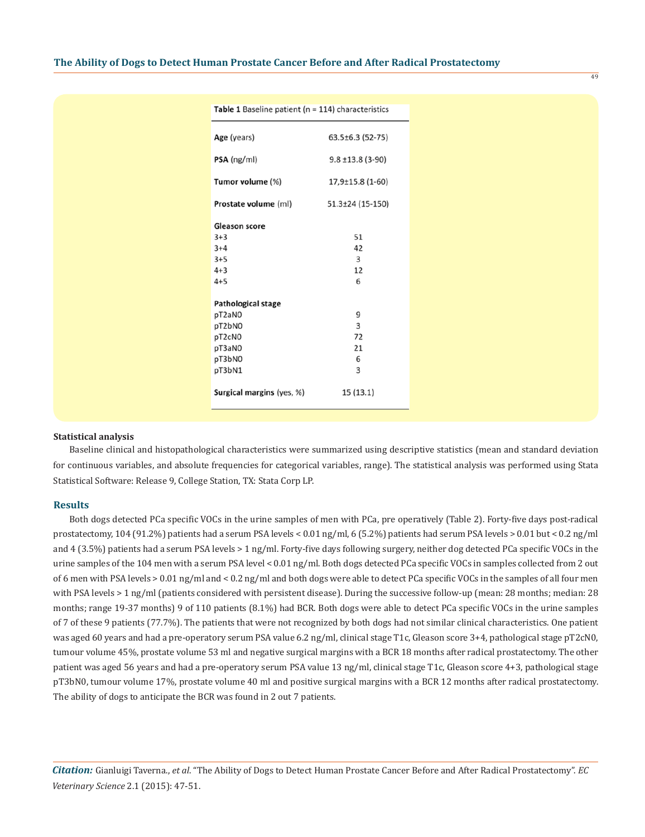| <b>Table 1</b> Baseline patient ( $n = 114$ ) characteristics |                        |  |  |
|---------------------------------------------------------------|------------------------|--|--|
| Age (years)                                                   | 63.5±6.3 (52-75)       |  |  |
| $PSA$ (ng/ml)                                                 | $9.8 \pm 13.8$ (3-90)  |  |  |
| Tumor volume (%)                                              | 17,9±15.8 (1-60)       |  |  |
| Prostate volume (ml)                                          | $51.3 \pm 24$ (15-150) |  |  |
| <b>Gleason score</b>                                          |                        |  |  |
| $3+3$                                                         | 51                     |  |  |
| $3+4$                                                         | 42                     |  |  |
| $3+5$                                                         | 3                      |  |  |
| $4 + 3$                                                       | 12                     |  |  |
| $4 + 5$                                                       | 6                      |  |  |
| <b>Pathological stage</b>                                     |                        |  |  |
| pT2aN0                                                        | 9                      |  |  |
| pT2bN0                                                        | 3                      |  |  |
| pT2cN0                                                        | 72                     |  |  |
| pT3aN0                                                        | 21                     |  |  |
| pT3bN0                                                        | 6                      |  |  |
| pT3bN1                                                        | 3                      |  |  |
| Surgical margins (yes, %)                                     | 15 (13.1)              |  |  |

## **Statistical analysis**

Baseline clinical and histopathological characteristics were summarized using descriptive statistics (mean and standard deviation for continuous variables, and absolute frequencies for categorical variables, range). The statistical analysis was performed using Stata Statistical Software: Release 9, College Station, TX: Stata Corp LP.

## **Results**

Both dogs detected PCa specific VOCs in the urine samples of men with PCa, pre operatively (Table 2). Forty-five days post-radical prostatectomy, 104 (91.2%) patients had a serum PSA levels < 0.01 ng/ml, 6 (5.2%) patients had serum PSA levels > 0.01 but < 0.2 ng/ml and 4 (3.5%) patients had a serum PSA levels > 1 ng/ml. Forty-five days following surgery, neither dog detected PCa specific VOCs in the urine samples of the 104 men with a serum PSA level < 0.01 ng/ml. Both dogs detected PCa specific VOCs in samples collected from 2 out of 6 men with PSA levels > 0.01 ng/ml and < 0.2 ng/ml and both dogs were able to detect PCa specific VOCs in the samples of all four men with PSA levels > 1 ng/ml (patients considered with persistent disease). During the successive follow-up (mean: 28 months; median: 28 months; range 19-37 months) 9 of 110 patients (8.1%) had BCR. Both dogs were able to detect PCa specific VOCs in the urine samples of 7 of these 9 patients (77.7%). The patients that were not recognized by both dogs had not similar clinical characteristics. One patient was aged 60 years and had a pre-operatory serum PSA value 6.2 ng/ml, clinical stage T1c, Gleason score 3+4, pathological stage pT2cN0, tumour volume 45%, prostate volume 53 ml and negative surgical margins with a BCR 18 months after radical prostatectomy. The other patient was aged 56 years and had a pre-operatory serum PSA value 13 ng/ml, clinical stage T1c, Gleason score 4+3, pathological stage pT3bN0, tumour volume 17%, prostate volume 40 ml and positive surgical margins with a BCR 12 months after radical prostatectomy. The ability of dogs to anticipate the BCR was found in 2 out 7 patients.

*Citation:* Gianluigi Taverna., *et al*. "The Ability of Dogs to Detect Human Prostate Cancer Before and After Radical Prostatectomy". *EC Veterinary Science* 2.1 (2015): 47-51.

#### 49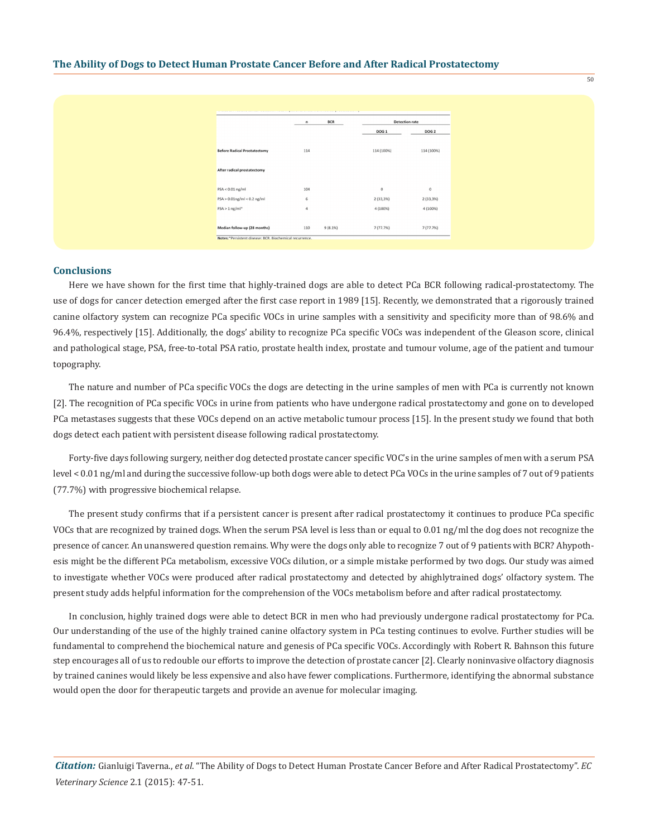|                                                           | n   | <b>BCR</b> | <b>Detection rate</b> |                  |  |
|-----------------------------------------------------------|-----|------------|-----------------------|------------------|--|
|                                                           |     |            | <b>DOG 1</b>          | DOG <sub>2</sub> |  |
| <b>Before Radical Prostatectomy</b>                       | 114 |            | 114 (100%)            | 114 (100%)       |  |
| After radical prostatectomy                               |     |            |                       |                  |  |
| $PSA < 0.01$ ng/ml                                        | 104 |            | $\mathbf 0$           | $\mathbf 0$      |  |
| $PSA > 0.01$ ng/ml < 0.2 ng/ml                            | 6   |            | 2(33,3%)              | 2(33,3%)         |  |
| $PSA > 1$ ng/ml*                                          | 4   |            | 4 (100%)              | 4 (100%)         |  |
| Median follow-up (28 months)                              | 110 | 9(8.1%)    | 7(77.7%)              | 7(77.7%)         |  |
| Notes: * Persistent disease; BCR, Biochemical recurrence. |     |            |                       |                  |  |

## **Conclusions**

Here we have shown for the first time that highly-trained dogs are able to detect PCa BCR following radical-prostatectomy. The use of dogs for cancer detection emerged after the first case report in 1989 [15]. Recently, we demonstrated that a rigorously trained canine olfactory system can recognize PCa specific VOCs in urine samples with a sensitivity and specificity more than of 98.6% and 96.4%, respectively [15]. Additionally, the dogs' ability to recognize PCa specific VOCs was independent of the Gleason score, clinical and pathological stage, PSA, free-to-total PSA ratio, prostate health index, prostate and tumour volume, age of the patient and tumour topography.

The nature and number of PCa specific VOCs the dogs are detecting in the urine samples of men with PCa is currently not known [2]. The recognition of PCa specific VOCs in urine from patients who have undergone radical prostatectomy and gone on to developed PCa metastases suggests that these VOCs depend on an active metabolic tumour process [15]. In the present study we found that both dogs detect each patient with persistent disease following radical prostatectomy.

Forty-five days following surgery, neither dog detected prostate cancer specific VOC's in the urine samples of men with a serum PSA level < 0.01 ng/ml and during the successive follow-up both dogs were able to detect PCa VOCs in the urine samples of 7 out of 9 patients (77.7%) with progressive biochemical relapse.

The present study confirms that if a persistent cancer is present after radical prostatectomy it continues to produce PCa specific VOCs that are recognized by trained dogs. When the serum PSA level is less than or equal to 0.01 ng/ml the dog does not recognize the presence of cancer. An unanswered question remains. Why were the dogs only able to recognize 7 out of 9 patients with BCR? Ahypothesis might be the different PCa metabolism, excessive VOCs dilution, or a simple mistake performed by two dogs. Our study was aimed to investigate whether VOCs were produced after radical prostatectomy and detected by ahighlytrained dogs' olfactory system. The present study adds helpful information for the comprehension of the VOCs metabolism before and after radical prostatectomy.

In conclusion, highly trained dogs were able to detect BCR in men who had previously undergone radical prostatectomy for PCa. Our understanding of the use of the highly trained canine olfactory system in PCa testing continues to evolve. Further studies will be fundamental to comprehend the biochemical nature and genesis of PCa specific VOCs. Accordingly with Robert R. Bahnson this future step encourages all of us to redouble our efforts to improve the detection of prostate cancer [2]. Clearly noninvasive olfactory diagnosis by trained canines would likely be less expensive and also have fewer complications. Furthermore, identifying the abnormal substance would open the door for therapeutic targets and provide an avenue for molecular imaging.

*Citation:* Gianluigi Taverna., *et al*. "The Ability of Dogs to Detect Human Prostate Cancer Before and After Radical Prostatectomy". *EC Veterinary Science* 2.1 (2015): 47-51.